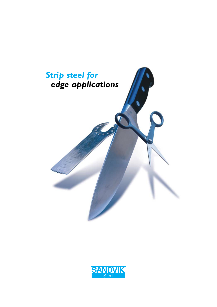

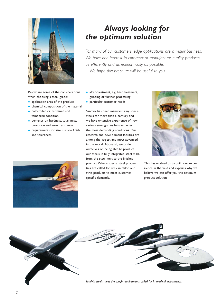

## *Always looking for the optimum solution*

*For many of our customers, edge applications are a major business. We have one interest in common: to manufacture quality products as efficiently and as economically as possible. We hope this brochure will be useful to you.*

- Below are some of the considerations when choosing a steel grade:
- application area of the product
- chemical composition of the material
- cold-rolled or hardened and tempered condition
- demands on hardness, toughness, corrosion and wear resistance
- requirements for size, surface finish and tolerances



- after-treatment, e.g. heat treatment, grinding or further processing
- particular customer needs

Sandvik has been manufacturing special steels for more than a century and we have extensive experience of how various steel grades behave under the most demanding conditions. Our research and development facilities are among the largest and most advanced in the world. Above all, we pride ourselves on being able to produce our steels in fully integrated steel mills, from the steel melt to the finished product.Where special steel properties are called for, we can tailor our strip products to meet customerspecific demands.



This has enabled us to build our experience in the field and explains why we believe we can offer you the optimum product solution.



*Sandvik steels meet the tough requirements called for in medical instruments.*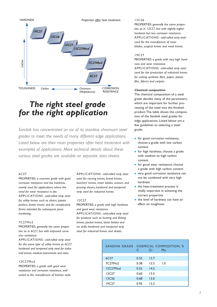*Properties after heat treatment.*



# *The right steel grade for the right application*

*Sandvik has concentrated on six of its stainless chromium steel grades to meet the needs of many different edge applications. Listed below are their main properties after heat treatment with examples of applications. More technical details about these various steel grades are available on separate data sheets.*

### 6C27

PROPERTIES: *a common grade with good corrosion resistance and low hardness, mainly used for applications where the need for wear resistance is low.* APPLICATIONS: *cold-rolled strip steel for utility knives such as slicers, potato peelers, butter knives and for complicated forms intended for subsequent piece hardening.*

#### 7C27Mo2

PROPERTIES: *generally the same properties as in 6C27, but with improved corrosion resistance.*

APPLICATIONS: *cold-rolled strip steel for the same type of utility knives as 6C27; hardened and tempered strip steel for industrial knives, medical instruments and saws.*

#### 12C27Mod

PROPERTIES: *a grade with good wear resistance and corrosion resistance, well suited to the manufacture of kitchen tools.* APPLICATIONS: *cold-rolled strip steel used for carving knives, bread knives, butchers' knives, mixer blades, scissors and pruning shears; hardened and tempered strip steel for industrial knives.*

#### 12C27

PROPERTIES: *a grade with high hardness and good wear resistance.* APPLICATIONS: *cold-rolled strip steel for products such as hunting and fishing knives, pocket knives, skate blades and ice drills; hardened and tempered strip steel for industrial knives and skates.*

#### 13C26

PROPERTIES: *generally the same properties as in 12C27, but with slightly higher hardness but less corrosion resistance.* APPLICATIONS: *cold-rolled strip steel used for the manufacture of razor blades, surgical knives and meat knives.*

#### 19C27

PROPERTIES: *a grade with very high hardness and wear resistance.* APPLICATIONS: *cold-rolled strip steel used for the production of industrial knives for cutting synthetic fibre, paper, plastic film, fabrics and carpets.*

#### *Chemical composition*

The chemical composition of a steel grade decides many of the parameters, which are important for further processing of the steel into the finished product.The table shows the composition of the Sandvik steel grades for edge applications. Listed below are a few guidelines to selecting a steel grade:

- for good corrosion resistance, choose a grade with low carbon content
- for high hardness, choose a grade with medium to high carbon content
- for good wear resistance, choose a grade with high carbon content
- very good corrosion resistance can not be combined with very high hardness
- the heat-treatment process is vitally important in achieving the correct properties
- the level of hardness can have an affect on toughness

| SANDVIK GRADE CHEMICAL COMPOSITION, % | C    | Cr   | Mo               |
|---------------------------------------|------|------|------------------|
| 6C <sub>27</sub>                      | 0.32 | 13.7 |                  |
| 7C27Mo2                               | 0.38 | 13.5 | $\overline{1.0}$ |
| 12C27Mod                              | 0.52 | 14.5 |                  |
| <b>12C27</b>                          | 0.60 | 13.5 |                  |
| <b>I3C26</b>                          | 0.68 | 13.0 |                  |
| 19C <sub>27</sub>                     | 0.95 | 13.5 |                  |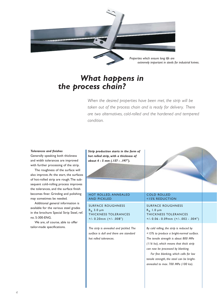

## *What happens in the process chain?*

*When the desired properties have been met, the strip will be taken out of the process chain and is ready for delivery. There are two alternatives, cold-rolled and the hardened and tempered condition.*

#### *Tolerances and finishes*

Generally speaking both thickness and width tolerances are improved with further processing of the strip.

The roughness of the surface will also improve.At the start, the surfaces of hot-rolled strip are rough.The subsequent cold-rolling process improves the tolerances, and the surface finish becomes finer. Grinding and polishing may sometimes be needed.

Additional general information is available for the various steel grades in the brochure Special Strip Steel, ref. no. S-300-ENG.

We are, of course, able to offer tailor-made specifications.

*Strip production starts in the form of hot rolled strip, with a thickness of about 4 - 5 mm (.157 - .197").*

#### HOT ROLLED, ANNEALED AND PICKLED

SURFACE ROUGHNESS  $R_a$  3.0  $\mu$ m THICKNESS TOLERANCES +/- 0.20mm (+/- .008")

*The strip is annealed and pickled. The surface is dull and there are standard hot rolled tolerances.*

#### COLD ROLLED <15% REDUCTION

SURFACE ROUGHNESS  $R_a$  1.0  $\mu$ m THICKNESS TOLERANCES  $+/- 0.06 - 0.09$ mm  $(+/- 0.02 - 0.04")$ 

*By cold rolling, the strip is reduced by <15% to produce a bright-normal surface. The tensile strength is about 800 MPa (116 ksi), which means that thick strip can now be processed by blanking.*

*For fine blanking, which calls for low tensile strength, the steel can be brightannealed to max. 700 MPa (100 ksi).*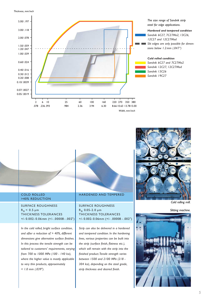*Thickness, mm/inch*



#### COLD ROLLED >40% REDUCTION

SURFACE ROUGHNESS  $R_a < 0.5 \mu m$ THICKNESS TOLERANCES +/- 0.002- 0.06 mm (+/- .00008 - .002")

*In the cold rolled, bright surface condition, and after a reduction of > 40%, different dimensions give alternative surface finishes. In this process the tensile strength can be tailored to customers' requirements, varying from 700 to 1000 MPa (100 - 140 ksi), where the higher value is mostly applicable to very thin products, approximately < 1.0 mm (.039").*

### HARDENED AND TEMPERED

### SURFACE ROUGHNESS  $R_a$  0.05-2.0  $\mu$ m THICKNESS TOLERANCES +/- 0.002- 0.06mm (+/- .00008 - .002")

*Strip can also be delivered in a hardened and tempered condition. In the hardening lines, various properties can be built into the strip (surface finish, flatness etc.), which will remain with the strip into the finished product.Tensile strength varies between 1500 and 2100 MPa (218 - 304 ksi), depending on the steel grade, strip thickness and desired finish.*



*Slitting machine.*

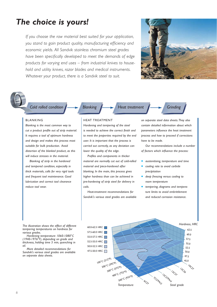# *The choice is yours!*

*If you choose the raw material best suited for your application, you stand to gain product quality, manufacturing efficiency and economic yields. All Sandvik stainless chromium steel grades have been specifically developed to meet the demands of edge products for varying end uses – from industrial knives to household and utility knives, razor blades and medical instruments. Whatever your product, there is a Sandvik steel to suit.*





*Cold rolled condition*

#### BLANKING

*Blanking is the most common way to cut a product profile out of strip material. It requires a tool of optimum hardness and design and makes this process most suitable for bulk production. Avoid distortion of the blanked product, as this will induce stresses in the material.*

*Blanking of strip in the hardened and tempered condition, especially in thick materials, calls for very rigid tools and frequent tool maintenance. Good lubrication and correct tool clearance reduce tool wear.*

### HEAT TREATMENT

*Hardening and tempering of the steel is needed to achieve the correct finish and to meet the properties required by the end user. It is important that the process is carried out correctly, as any deviation can lower the quality of the edge.*

**Blanking Heat treatment Grinding** 

*Profiles and components in thicker material are normally cut out of cold-rolled material and piece-hardened after blanking. In the main, this process gives higher hardness than can be achieved in pre-hardening of strip steel for delivery in coils.*

*Heat-treatment recommendations for Sandvik's various steel grades are available* 

*on separate steel data sheets.They also contain detailed information about which parameters influence the heat treatment process and how to proceed if corrections have to be made.*

*Our recommendations include a number of factors which influence the process:*

- *austenitising, temperature and time*
- *cooling rate to avoid carbide precipitation*
- deep freezing versus cooling to *room temperature*
- *tempering, diagrams and temperature limits to avoid embrittlement and reduced corrosion resistance.*

*tempering temperatures on hardness for various grades.*

*Hardening temperature 1060-1080°C (1940-1976°F), depending on grade and thickness, holding time 5 min, quenching in oil.*

*More detailed recommendations for Sandvik's various steel grades are available on separate data sheets.*

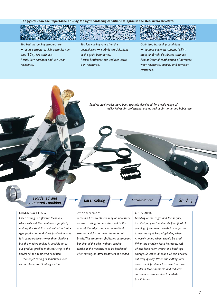*The figures show the importance of using the right hardening conditions to optimise the steel micro structure.*



➔ *coarse structure, high austenite content (30%), few carbides. Result: Low hardness and low wear resistance.*

*Too low cooling rate after the austenitising* ➔ *carbide precipitations in the grain boundaries. Result: Brittleness and reduced corrosion resistance.*

*Optimised hardening conditions*  ➔ *optimal austenite content (15%), many uniformly distributed carbides. Result: Optimal combination of hardness, wear resistance, ductility and corrosion resistance.*

*Sandvik steel grades have been specially developed for a wide range of utility knives for professional use as well as for home and hobby use.*

Hardened and **After-treatment** After-treatment **After-treatment** Grinding *tempered condition*

#### LASER CUTTING

*Laser cutting is a flexible technique, which cuts out the component profile by melting the steel. It is well suited to prototype production and short production runs. It is comparatively slower than blanking, but the method makes it possible to cut out product profiles in thicker strip in the hardened and tempered condition.*

*Water-jet cutting is sometimes used as an alternative blanking method.*

## After-treatment

*A certain heat treatment may be necessary, as laser cutting hardens the steel in the area of the edges and causes residual stresses which can make the material brittle.This treatment facilitates subsequent bending of the edge without causing cracks. If the material is to be hardened after cutting, no after-treatment is needed.*

#### GRINDING

*Grinding of the edges and the surface, if called for, give the steel its final finish. In grinding of chromium steels it is important to use the right kind of grinding wheel. A loosely bound wheel should be used. When the grinding force increases, soft wheels leave worn grains and hard tips emerge. So called all-round wheels become dull very quickly. When the cutting force increases, it produces heat which in turn results in lower hardness and reduced corrosion resistance, due to carbide precipitation.*